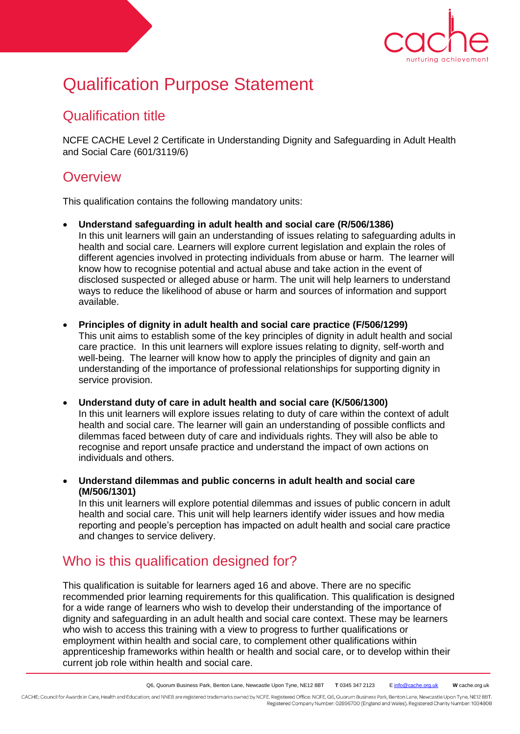

# Qualification Purpose Statement

### Qualification title

NCFE CACHE Level 2 Certificate in Understanding Dignity and Safeguarding in Adult Health and Social Care (601/3119/6)

#### **Overview**

This qualification contains the following mandatory units:

- **Understand safeguarding in adult health and social care (R/506/1386)**  In this unit learners will gain an understanding of issues relating to safeguarding adults in health and social care. Learners will explore current legislation and explain the roles of different agencies involved in protecting individuals from abuse or harm. The learner will know how to recognise potential and actual abuse and take action in the event of disclosed suspected or alleged abuse or harm. The unit will help learners to understand ways to reduce the likelihood of abuse or harm and sources of information and support available.
- **Principles of dignity in adult health and social care practice (F/506/1299)**  This unit aims to establish some of the key principles of dignity in adult health and social care practice. In this unit learners will explore issues relating to dignity, self-worth and well-being. The learner will know how to apply the principles of dignity and gain an understanding of the importance of professional relationships for supporting dignity in service provision.

 **Understand duty of care in adult health and social care (K/506/1300)**  In this unit learners will explore issues relating to duty of care within the context of adult health and social care. The learner will gain an understanding of possible conflicts and dilemmas faced between duty of care and individuals rights. They will also be able to recognise and report unsafe practice and understand the impact of own actions on individuals and others.

 **Understand dilemmas and public concerns in adult health and social care (M/506/1301)** 

In this unit learners will explore potential dilemmas and issues of public concern in adult health and social care. This unit will help learners identify wider issues and how media reporting and people's perception has impacted on adult health and social care practice and changes to service delivery.

## Who is this qualification designed for?

This qualification is suitable for learners aged 16 and above. There are no specific recommended prior learning requirements for this qualification. This qualification is designed for a wide range of learners who wish to develop their understanding of the importance of dignity and safeguarding in an adult health and social care context. These may be learners who wish to access this training with a view to progress to further qualifications or employment within health and social care, to complement other qualifications within apprenticeship frameworks within health or health and social care, or to develop within their current job role within health and social care.

CACHE; Council for Awards in Care, Health and Education; and NNEB are registered trademarks owned by NCFE. Registered Office: NCFE, Q6, Quorum Business Park, Benton Lane, Newcastle Upon Tyne, NE12 8BT. Registered Company Number: 02896700 (England and Wales). Registered Charity Number: 1034808